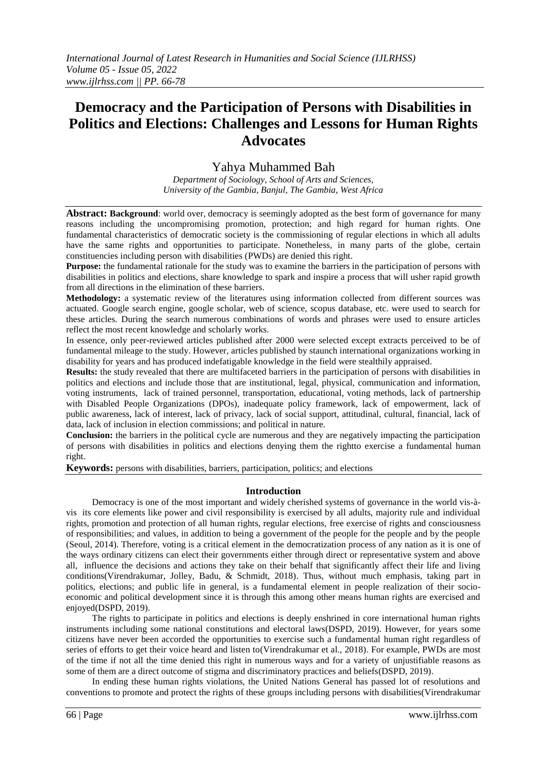# **Democracy and the Participation of Persons with Disabilities in Politics and Elections: Challenges and Lessons for Human Rights Advocates**

## Yahya Muhammed Bah

*Department of Sociology, School of Arts and Sciences, University of the Gambia, Banjul, The Gambia, West Africa*

**Abstract: Background:** world over, democracy is seemingly adopted as the best form of governance for many reasons including the uncompromising promotion, protection; and high regard for human rights. One fundamental characteristics of democratic society is the commissioning of regular elections in which all adults have the same rights and opportunities to participate. Nonetheless, in many parts of the globe, certain constituencies including person with disabilities (PWDs) are denied this right.

**Purpose:** the fundamental rationale for the study was to examine the barriers in the participation of persons with disabilities in politics and elections, share knowledge to spark and inspire a process that will usher rapid growth from all directions in the elimination of these barriers.

**Methodology:** a systematic review of the literatures using information collected from different sources was actuated. Google search engine, google scholar, web of science, scopus database, etc. were used to search for these articles. During the search numerous combinations of words and phrases were used to ensure articles reflect the most recent knowledge and scholarly works.

In essence, only peer-reviewed articles published after 2000 were selected except extracts perceived to be of fundamental mileage to the study. However, articles published by staunch international organizations working in disability for years and has produced indefatigable knowledge in the field were stealthily appraised.

**Results:** the study revealed that there are multifaceted barriers in the participation of persons with disabilities in politics and elections and include those that are institutional, legal, physical, communication and information, voting instruments, lack of trained personnel, transportation, educational, voting methods, lack of partnership with Disabled People Organizations (DPOs), inadequate policy framework, lack of empowerment, lack of public awareness, lack of interest, lack of privacy, lack of social support, attitudinal, cultural, financial, lack of data, lack of inclusion in election commissions; and political in nature.

**Conclusion:** the barriers in the political cycle are numerous and they are negatively impacting the participation of persons with disabilities in politics and elections denying them the rightto exercise a fundamental human right.

**Keywords:** persons with disabilities, barriers, participation, politics; and elections

## **Introduction**

Democracy is one of the most important and widely cherished systems of governance in the world vis-àvis its core elements like power and civil responsibility is exercised by all adults, majority rule and individual rights, promotion and protection of all human rights, regular elections, free exercise of rights and consciousness of responsibilities; and values, in addition to being a government of the people for the people and by the people (Seoul, 2014). Therefore, voting is a critical element in the democratization process of any nation as it is one of the ways ordinary citizens can elect their governments either through direct or representative system and above all, influence the decisions and actions they take on their behalf that significantly affect their life and living conditions(Virendrakumar, Jolley, Badu, & Schmidt, 2018). Thus, without much emphasis, taking part in politics, elections; and public life in general, is a fundamental element in people realization of their socioeconomic and political development since it is through this among other means human rights are exercised and enjoyed(DSPD, 2019).

The rights to participate in politics and elections is deeply enshrined in core international human rights instruments including some national constitutions and electoral laws(DSPD, 2019). However, for years some citizens have never been accorded the opportunities to exercise such a fundamental human right regardless of series of efforts to get their voice heard and listen to(Virendrakumar et al., 2018). For example, PWDs are most of the time if not all the time denied this right in numerous ways and for a variety of unjustifiable reasons as some of them are a direct outcome of stigma and discriminatory practices and beliefs(DSPD, 2019).

In ending these human rights violations, the United Nations General has passed lot of resolutions and conventions to promote and protect the rights of these groups including persons with disabilities(Virendrakumar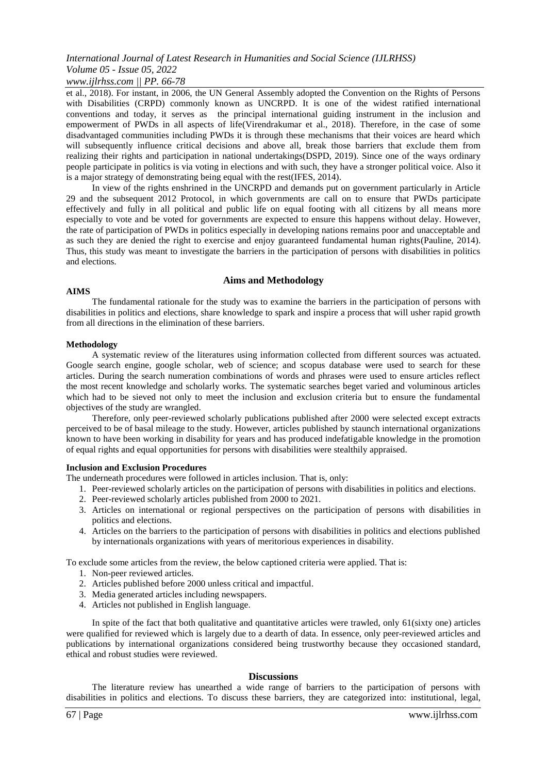## *www.ijlrhss.com || PP. 66-78*

et al., 2018). For instant, in 2006, the UN General Assembly adopted the Convention on the Rights of Persons with Disabilities (CRPD) commonly known as UNCRPD. It is one of the widest ratified international conventions and today, it serves as the principal international guiding instrument in the inclusion and empowerment of PWDs in all aspects of life(Virendrakumar et al., 2018). Therefore, in the case of some disadvantaged communities including PWDs it is through these mechanisms that their voices are heard which will subsequently influence critical decisions and above all, break those barriers that exclude them from realizing their rights and participation in national undertakings(DSPD, 2019). Since one of the ways ordinary people participate in politics is via voting in elections and with such, they have a stronger political voice. Also it is a major strategy of demonstrating being equal with the rest(IFES, 2014).

In view of the rights enshrined in the UNCRPD and demands put on government particularly in Article 29 and the subsequent 2012 Protocol, in which governments are call on to ensure that PWDs participate effectively and fully in all political and public life on equal footing with all citizens by all means more especially to vote and be voted for governments are expected to ensure this happens without delay. However, the rate of participation of PWDs in politics especially in developing nations remains poor and unacceptable and as such they are denied the right to exercise and enjoy guaranteed fundamental human rights(Pauline, 2014). Thus, this study was meant to investigate the barriers in the participation of persons with disabilities in politics and elections.

## **Aims and Methodology**

#### **AIMS**

The fundamental rationale for the study was to examine the barriers in the participation of persons with disabilities in politics and elections, share knowledge to spark and inspire a process that will usher rapid growth from all directions in the elimination of these barriers.

#### **Methodology**

A systematic review of the literatures using information collected from different sources was actuated. Google search engine, google scholar, web of science; and scopus database were used to search for these articles. During the search numeration combinations of words and phrases were used to ensure articles reflect the most recent knowledge and scholarly works. The systematic searches beget varied and voluminous articles which had to be sieved not only to meet the inclusion and exclusion criteria but to ensure the fundamental objectives of the study are wrangled.

Therefore, only peer-reviewed scholarly publications published after 2000 were selected except extracts perceived to be of basal mileage to the study. However, articles published by staunch international organizations known to have been working in disability for years and has produced indefatigable knowledge in the promotion of equal rights and equal opportunities for persons with disabilities were stealthily appraised.

## **Inclusion and Exclusion Procedures**

The underneath procedures were followed in articles inclusion. That is, only:

- 1. Peer-reviewed scholarly articles on the participation of persons with disabilities in politics and elections.
- 2. Peer-reviewed scholarly articles published from 2000 to 2021.
- 3. Articles on international or regional perspectives on the participation of persons with disabilities in politics and elections.
- 4. Articles on the barriers to the participation of persons with disabilities in politics and elections published by internationals organizations with years of meritorious experiences in disability.

To exclude some articles from the review, the below captioned criteria were applied. That is:

- 1. Non-peer reviewed articles.
- 2. Articles published before 2000 unless critical and impactful.
- 3. Media generated articles including newspapers.
- 4. Articles not published in English language.

In spite of the fact that both qualitative and quantitative articles were trawled, only 61(sixty one) articles were qualified for reviewed which is largely due to a dearth of data. In essence, only peer-reviewed articles and publications by international organizations considered being trustworthy because they occasioned standard, ethical and robust studies were reviewed.

## **Discussions**

The literature review has unearthed a wide range of barriers to the participation of persons with disabilities in politics and elections. To discuss these barriers, they are categorized into: institutional, legal,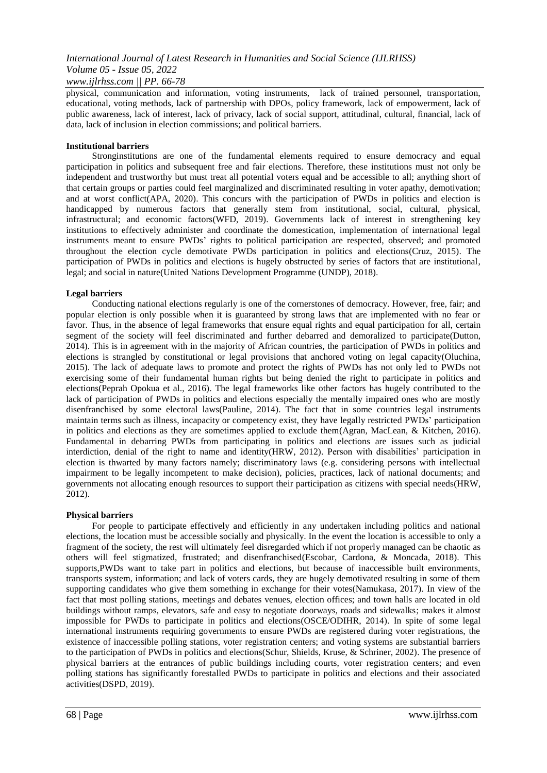*www.ijlrhss.com || PP. 66-78*

physical, communication and information, voting instruments, lack of trained personnel, transportation, educational, voting methods, lack of partnership with DPOs, policy framework, lack of empowerment, lack of public awareness, lack of interest, lack of privacy, lack of social support, attitudinal, cultural, financial, lack of data, lack of inclusion in election commissions; and political barriers.

## **Institutional barriers**

Stronginstitutions are one of the fundamental elements required to ensure democracy and equal participation in politics and subsequent free and fair elections. Therefore, these institutions must not only be independent and trustworthy but must treat all potential voters equal and be accessible to all; anything short of that certain groups or parties could feel marginalized and discriminated resulting in voter apathy, demotivation; and at worst conflict(APA, 2020). This concurs with the participation of PWDs in politics and election is handicapped by numerous factors that generally stem from institutional, social, cultural, physical, infrastructural; and economic factors(WFD, 2019). Governments lack of interest in strengthening key institutions to effectively administer and coordinate the domestication, implementation of international legal instruments meant to ensure PWDs" rights to political participation are respected, observed; and promoted throughout the election cycle demotivate PWDs participation in politics and elections(Cruz, 2015). The participation of PWDs in politics and elections is hugely obstructed by series of factors that are institutional, legal; and social in nature(United Nations Development Programme (UNDP), 2018).

## **Legal barriers**

Conducting national elections regularly is one of the cornerstones of democracy. However, free, fair; and popular election is only possible when it is guaranteed by strong laws that are implemented with no fear or favor. Thus, in the absence of legal frameworks that ensure equal rights and equal participation for all, certain segment of the society will feel discriminated and further debarred and demoralized to participate(Dutton, 2014). This is in agreement with in the majority of African countries, the participation of PWDs in politics and elections is strangled by constitutional or legal provisions that anchored voting on legal capacity(Oluchina, 2015). The lack of adequate laws to promote and protect the rights of PWDs has not only led to PWDs not exercising some of their fundamental human rights but being denied the right to participate in politics and elections(Peprah Opokua et al., 2016). The legal frameworks like other factors has hugely contributed to the lack of participation of PWDs in politics and elections especially the mentally impaired ones who are mostly disenfranchised by some electoral laws(Pauline, 2014). The fact that in some countries legal instruments maintain terms such as illness, incapacity or competency exist, they have legally restricted PWDs" participation in politics and elections as they are sometimes applied to exclude them(Agran, MacLean, & Kitchen, 2016). Fundamental in debarring PWDs from participating in politics and elections are issues such as judicial interdiction, denial of the right to name and identity(HRW, 2012). Person with disabilities" participation in election is thwarted by many factors namely; discriminatory laws (e.g. considering persons with intellectual impairment to be legally incompetent to make decision), policies, practices, lack of national documents; and governments not allocating enough resources to support their participation as citizens with special needs(HRW, 2012).

## **Physical barriers**

For people to participate effectively and efficiently in any undertaken including politics and national elections, the location must be accessible socially and physically. In the event the location is accessible to only a fragment of the society, the rest will ultimately feel disregarded which if not properly managed can be chaotic as others will feel stigmatized, frustrated; and disenfranchised(Escobar, Cardona, & Moncada, 2018). This supports,PWDs want to take part in politics and elections, but because of inaccessible built environments, transports system, information; and lack of voters cards, they are hugely demotivated resulting in some of them supporting candidates who give them something in exchange for their votes(Namukasa, 2017). In view of the fact that most polling stations, meetings and debates venues, election offices; and town halls are located in old buildings without ramps, elevators, safe and easy to negotiate doorways, roads and sidewalks; makes it almost impossible for PWDs to participate in politics and elections(OSCE/ODIHR, 2014). In spite of some legal international instruments requiring governments to ensure PWDs are registered during voter registrations, the existence of inaccessible polling stations, voter registration centers; and voting systems are substantial barriers to the participation of PWDs in politics and elections(Schur, Shields, Kruse, & Schriner, 2002). The presence of physical barriers at the entrances of public buildings including courts, voter registration centers; and even polling stations has significantly forestalled PWDs to participate in politics and elections and their associated activities(DSPD, 2019).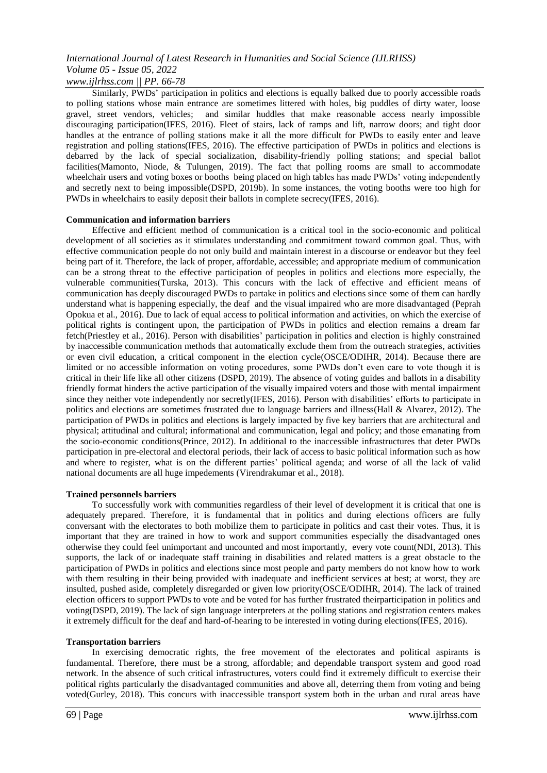*www.ijlrhss.com || PP. 66-78*

Similarly, PWDs" participation in politics and elections is equally balked due to poorly accessible roads to polling stations whose main entrance are sometimes littered with holes, big puddles of dirty water, loose gravel, street vendors, vehicles; and similar huddles that make reasonable access nearly impossible discouraging participation(IFES, 2016). Fleet of stairs, lack of ramps and lift, narrow doors; and tight door handles at the entrance of polling stations make it all the more difficult for PWDs to easily enter and leave registration and polling stations(IFES, 2016). The effective participation of PWDs in politics and elections is debarred by the lack of special socialization, disability-friendly polling stations; and special ballot facilities(Mamonto, Niode, & Tulungen, 2019). The fact that polling rooms are small to accommodate wheelchair users and voting boxes or booths being placed on high tables has made PWDs' voting independently and secretly next to being impossible(DSPD, 2019b). In some instances, the voting booths were too high for PWDs in wheelchairs to easily deposit their ballots in complete secrecy(IFES, 2016).

## **Communication and information barriers**

Effective and efficient method of communication is a critical tool in the socio-economic and political development of all societies as it stimulates understanding and commitment toward common goal. Thus, with effective communication people do not only build and maintain interest in a discourse or endeavor but they feel being part of it. Therefore, the lack of proper, affordable, accessible; and appropriate medium of communication can be a strong threat to the effective participation of peoples in politics and elections more especially, the vulnerable communities(Turska, 2013). This concurs with the lack of effective and efficient means of communication has deeply discouraged PWDs to partake in politics and elections since some of them can hardly understand what is happening especially, the deaf and the visual impaired who are more disadvantaged (Peprah Opokua et al., 2016). Due to lack of equal access to political information and activities, on which the exercise of political rights is contingent upon, the participation of PWDs in politics and election remains a dream far fetch(Priestley et al., 2016). Person with disabilities" participation in politics and election is highly constrained by inaccessible communication methods that automatically exclude them from the outreach strategies, activities or even civil education, a critical component in the election cycle(OSCE/ODIHR, 2014). Because there are limited or no accessible information on voting procedures, some PWDs don"t even care to vote though it is critical in their life like all other citizens (DSPD, 2019). The absence of voting guides and ballots in a disability friendly format hinders the active participation of the visually impaired voters and those with mental impairment since they neither vote independently nor secretly(IFES, 2016). Person with disabilities' efforts to participate in politics and elections are sometimes frustrated due to language barriers and illness(Hall & Alvarez, 2012). The participation of PWDs in politics and elections is largely impacted by five key barriers that are architectural and physical; attitudinal and cultural; informational and communication, legal and policy; and those emanating from the socio-economic conditions(Prince, 2012). In additional to the inaccessible infrastructures that deter PWDs participation in pre-electoral and electoral periods, their lack of access to basic political information such as how and where to register, what is on the different parties" political agenda; and worse of all the lack of valid national documents are all huge impedements (Virendrakumar et al., 2018).

## **Trained personnels barriers**

To successfully work with communities regardless of their level of development it is critical that one is adequately prepared. Therefore, it is fundamental that in politics and during elections officers are fully conversant with the electorates to both mobilize them to participate in politics and cast their votes. Thus, it is important that they are trained in how to work and support communities especially the disadvantaged ones otherwise they could feel unimportant and uncounted and most importantly, every vote count(NDI, 2013). This supports, the lack of or inadequate staff training in disabilities and related matters is a great obstacle to the participation of PWDs in politics and elections since most people and party members do not know how to work with them resulting in their being provided with inadequate and inefficient services at best; at worst, they are insulted, pushed aside, completely disregarded or given low priority(OSCE/ODIHR, 2014). The lack of trained election officers to support PWDs to vote and be voted for has further frustrated theirparticipation in politics and voting(DSPD, 2019). The lack of sign language interpreters at the polling stations and registration centers makes it extremely difficult for the deaf and hard-of-hearing to be interested in voting during elections(IFES, 2016).

## **Transportation barriers**

In exercising democratic rights, the free movement of the electorates and political aspirants is fundamental. Therefore, there must be a strong, affordable; and dependable transport system and good road network. In the absence of such critical infrastructures, voters could find it extremely difficult to exercise their political rights particularly the disadvantaged communities and above all, deterring them from voting and being voted(Gurley, 2018). This concurs with inaccessible transport system both in the urban and rural areas have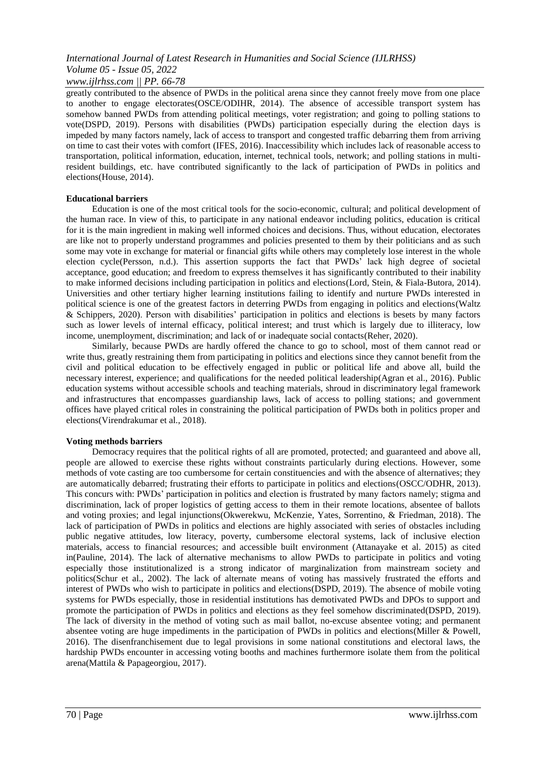*www.ijlrhss.com || PP. 66-78*

greatly contributed to the absence of PWDs in the political arena since they cannot freely move from one place to another to engage electorates(OSCE/ODIHR, 2014). The absence of accessible transport system has somehow banned PWDs from attending political meetings, voter registration; and going to polling stations to vote(DSPD, 2019). Persons with disabilities (PWDs) participation especially during the election days is impeded by many factors namely, lack of access to transport and congested traffic debarring them from arriving on time to cast their votes with comfort (IFES, 2016). Inaccessibility which includes lack of reasonable access to transportation, political information, education, internet, technical tools, network; and polling stations in multiresident buildings, etc. have contributed significantly to the lack of participation of PWDs in politics and elections(House, 2014).

## **Educational barriers**

Education is one of the most critical tools for the socio-economic, cultural; and political development of the human race. In view of this, to participate in any national endeavor including politics, education is critical for it is the main ingredient in making well informed choices and decisions. Thus, without education, electorates are like not to properly understand programmes and policies presented to them by their politicians and as such some may vote in exchange for material or financial gifts while others may completely lose interest in the whole election cycle(Persson, n.d.). This assertion supports the fact that PWDs" lack high degree of societal acceptance, good education; and freedom to express themselves it has significantly contributed to their inability to make informed decisions including participation in politics and elections(Lord, Stein, & Fiala-Butora, 2014). Universities and other tertiary higher learning institutions failing to identify and nurture PWDs interested in political science is one of the greatest factors in deterring PWDs from engaging in politics and elections(Waltz & Schippers, 2020). Person with disabilities" participation in politics and elections is besets by many factors such as lower levels of internal efficacy, political interest; and trust which is largely due to illiteracy, low income, unemployment, discrimination; and lack of or inadequate social contacts(Reher, 2020).

Similarly, because PWDs are hardly offered the chance to go to school, most of them cannot read or write thus, greatly restraining them from participating in politics and elections since they cannot benefit from the civil and political education to be effectively engaged in public or political life and above all, build the necessary interest, experience; and qualifications for the needed political leadership(Agran et al., 2016). Public education systems without accessible schools and teaching materials, shroud in discriminatory legal framework and infrastructures that encompasses guardianship laws, lack of access to polling stations; and government offices have played critical roles in constraining the political participation of PWDs both in politics proper and elections(Virendrakumar et al., 2018).

## **Voting methods barriers**

Democracy requires that the political rights of all are promoted, protected; and guaranteed and above all, people are allowed to exercise these rights without constraints particularly during elections. However, some methods of vote casting are too cumbersome for certain constituencies and with the absence of alternatives; they are automatically debarred; frustrating their efforts to participate in politics and elections(OSCC/ODHR, 2013). This concurs with: PWDs" participation in politics and election is frustrated by many factors namely; stigma and discrimination, lack of proper logistics of getting access to them in their remote locations, absentee of ballots and voting proxies; and legal injunctions(Okwerekwu, McKenzie, Yates, Sorrentino, & Friedman, 2018). The lack of participation of PWDs in politics and elections are highly associated with series of obstacles including public negative attitudes, low literacy, poverty, cumbersome electoral systems, lack of inclusive election materials, access to financial resources; and accessible built environment (Attanayake et al. 2015) as cited in(Pauline, 2014). The lack of alternative mechanisms to allow PWDs to participate in politics and voting especially those institutionalized is a strong indicator of marginalization from mainstream society and politics(Schur et al., 2002). The lack of alternate means of voting has massively frustrated the efforts and interest of PWDs who wish to participate in politics and elections(DSPD, 2019). The absence of mobile voting systems for PWDs especially, those in residential institutions has demotivated PWDs and DPOs to support and promote the participation of PWDs in politics and elections as they feel somehow discriminated(DSPD, 2019). The lack of diversity in the method of voting such as mail ballot, no-excuse absentee voting; and permanent absentee voting are huge impediments in the participation of PWDs in politics and elections(Miller & Powell, 2016). The disenfranchisement due to legal provisions in some national constitutions and electoral laws, the hardship PWDs encounter in accessing voting booths and machines furthermore isolate them from the political arena(Mattila & Papageorgiou, 2017).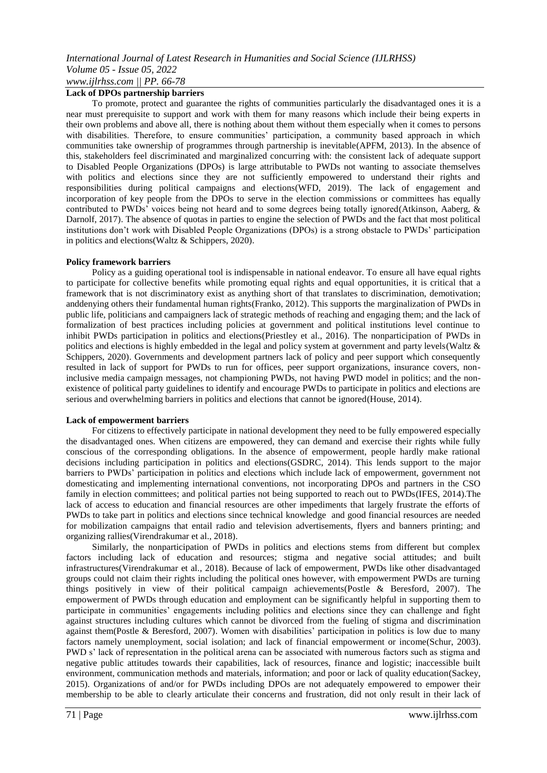**Lack of DPOs partnership barriers**

To promote, protect and guarantee the rights of communities particularly the disadvantaged ones it is a near must prerequisite to support and work with them for many reasons which include their being experts in their own problems and above all, there is nothing about them without them especially when it comes to persons with disabilities. Therefore, to ensure communities' participation, a community based approach in which communities take ownership of programmes through partnership is inevitable(APFM, 2013). In the absence of this, stakeholders feel discriminated and marginalized concurring with: the consistent lack of adequate support to Disabled People Organizations (DPOs) is large attributable to PWDs not wanting to associate themselves with politics and elections since they are not sufficiently empowered to understand their rights and responsibilities during political campaigns and elections(WFD, 2019). The lack of engagement and incorporation of key people from the DPOs to serve in the election commissions or committees has equally contributed to PWDs" voices being not heard and to some degrees being totally ignored(Atkinson, Aaberg, & Darnolf, 2017). The absence of quotas in parties to engine the selection of PWDs and the fact that most political institutions don"t work with Disabled People Organizations (DPOs) is a strong obstacle to PWDs" participation in politics and elections(Waltz & Schippers, 2020).

## **Policy framework barriers**

Policy as a guiding operational tool is indispensable in national endeavor. To ensure all have equal rights to participate for collective benefits while promoting equal rights and equal opportunities, it is critical that a framework that is not discriminatory exist as anything short of that translates to discrimination, demotivation; anddenying others their fundamental human rights(Franko, 2012). This supports the marginalization of PWDs in public life, politicians and campaigners lack of strategic methods of reaching and engaging them; and the lack of formalization of best practices including policies at government and political institutions level continue to inhibit PWDs participation in politics and elections(Priestley et al., 2016). The nonparticipation of PWDs in politics and elections is highly embedded in the legal and policy system at government and party levels(Waltz & Schippers, 2020). Governments and development partners lack of policy and peer support which consequently resulted in lack of support for PWDs to run for offices, peer support organizations, insurance covers, noninclusive media campaign messages, not championing PWDs, not having PWD model in politics; and the nonexistence of political party guidelines to identify and encourage PWDs to participate in politics and elections are serious and overwhelming barriers in politics and elections that cannot be ignored(House, 2014).

## **Lack of empowerment barriers**

For citizens to effectively participate in national development they need to be fully empowered especially the disadvantaged ones. When citizens are empowered, they can demand and exercise their rights while fully conscious of the corresponding obligations. In the absence of empowerment, people hardly make rational decisions including participation in politics and elections(GSDRC, 2014). This lends support to the major barriers to PWDs" participation in politics and elections which include lack of empowerment, government not domesticating and implementing international conventions, not incorporating DPOs and partners in the CSO family in election committees; and political parties not being supported to reach out to PWDs(IFES, 2014).The lack of access to education and financial resources are other impediments that largely frustrate the efforts of PWDs to take part in politics and elections since technical knowledge and good financial resources are needed for mobilization campaigns that entail radio and television advertisements, flyers and banners printing; and organizing rallies(Virendrakumar et al., 2018).

Similarly, the nonparticipation of PWDs in politics and elections stems from different but complex factors including lack of education and resources; stigma and negative social attitudes; and built infrastructures(Virendrakumar et al., 2018). Because of lack of empowerment, PWDs like other disadvantaged groups could not claim their rights including the political ones however, with empowerment PWDs are turning things positively in view of their political campaign achievements(Postle & Beresford, 2007). The empowerment of PWDs through education and employment can be significantly helpful in supporting them to participate in communities" engagements including politics and elections since they can challenge and fight against structures including cultures which cannot be divorced from the fueling of stigma and discrimination against them(Postle & Beresford, 2007). Women with disabilities" participation in politics is low due to many factors namely unemployment, social isolation; and lack of financial empowerment or income(Schur, 2003). PWD s" lack of representation in the political arena can be associated with numerous factors such as stigma and negative public attitudes towards their capabilities, lack of resources, finance and logistic; inaccessible built environment, communication methods and materials, information; and poor or lack of quality education(Sackey, 2015). Organizations of and/or for PWDs including DPOs are not adequately empowered to empower their membership to be able to clearly articulate their concerns and frustration, did not only result in their lack of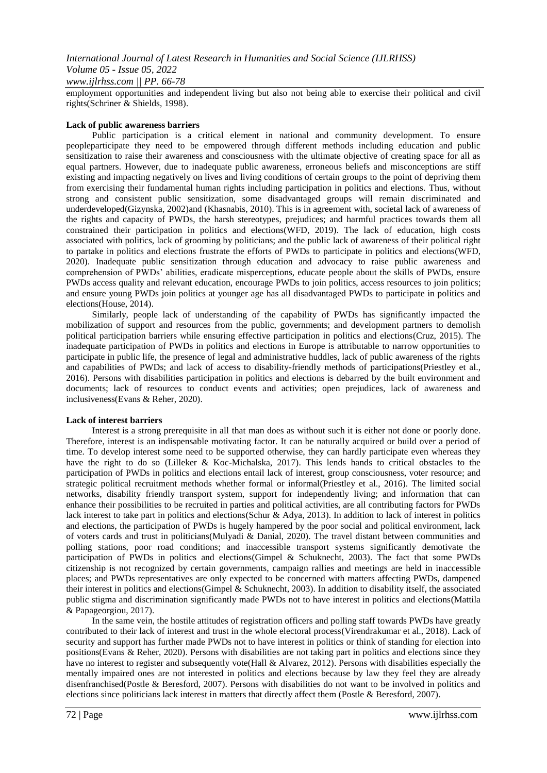## *www.ijlrhss.com || PP. 66-78*

employment opportunities and independent living but also not being able to exercise their political and civil rights(Schriner & Shields, 1998).

#### **Lack of public awareness barriers**

Public participation is a critical element in national and community development. To ensure peopleparticipate they need to be empowered through different methods including education and public sensitization to raise their awareness and consciousness with the ultimate objective of creating space for all as equal partners. However, due to inadequate public awareness, erroneous beliefs and misconceptions are stiff existing and impacting negatively on lives and living conditions of certain groups to the point of depriving them from exercising their fundamental human rights including participation in politics and elections. Thus, without strong and consistent public sensitization, some disadvantaged groups will remain discriminated and underdeveloped(Gizynska, 2002)and (Khasnabis, 2010). This is in agreement with, societal lack of awareness of the rights and capacity of PWDs, the harsh stereotypes, prejudices; and harmful practices towards them all constrained their participation in politics and elections(WFD, 2019). The lack of education, high costs associated with politics, lack of grooming by politicians; and the public lack of awareness of their political right to partake in politics and elections frustrate the efforts of PWDs to participate in politics and elections(WFD, 2020). Inadequate public sensitization through education and advocacy to raise public awareness and comprehension of PWDs" abilities, eradicate misperceptions, educate people about the skills of PWDs, ensure PWDs access quality and relevant education, encourage PWDs to join politics, access resources to join politics; and ensure young PWDs join politics at younger age has all disadvantaged PWDs to participate in politics and elections(House, 2014).

Similarly, people lack of understanding of the capability of PWDs has significantly impacted the mobilization of support and resources from the public, governments; and development partners to demolish political participation barriers while ensuring effective participation in politics and elections(Cruz, 2015). The inadequate participation of PWDs in politics and elections in Europe is attributable to narrow opportunities to participate in public life, the presence of legal and administrative huddles, lack of public awareness of the rights and capabilities of PWDs; and lack of access to disability-friendly methods of participations(Priestley et al., 2016). Persons with disabilities participation in politics and elections is debarred by the built environment and documents; lack of resources to conduct events and activities; open prejudices, lack of awareness and inclusiveness(Evans & Reher, 2020).

## **Lack of interest barriers**

Interest is a strong prerequisite in all that man does as without such it is either not done or poorly done. Therefore, interest is an indispensable motivating factor. It can be naturally acquired or build over a period of time. To develop interest some need to be supported otherwise, they can hardly participate even whereas they have the right to do so (Lilleker & Koc-Michalska, 2017). This lends hands to critical obstacles to the participation of PWDs in politics and elections entail lack of interest, group consciousness, voter resource; and strategic political recruitment methods whether formal or informal(Priestley et al., 2016). The limited social networks, disability friendly transport system, support for independently living; and information that can enhance their possibilities to be recruited in parties and political activities, are all contributing factors for PWDs lack interest to take part in politics and elections(Schur & Adya, 2013). In addition to lack of interest in politics and elections, the participation of PWDs is hugely hampered by the poor social and political environment, lack of voters cards and trust in politicians(Mulyadi & Danial, 2020). The travel distant between communities and polling stations, poor road conditions; and inaccessible transport systems significantly demotivate the participation of PWDs in politics and elections(Gimpel & Schuknecht, 2003). The fact that some PWDs citizenship is not recognized by certain governments, campaign rallies and meetings are held in inaccessible places; and PWDs representatives are only expected to be concerned with matters affecting PWDs, dampened their interest in politics and elections(Gimpel & Schuknecht, 2003). In addition to disability itself, the associated public stigma and discrimination significantly made PWDs not to have interest in politics and elections(Mattila & Papageorgiou, 2017).

In the same vein, the hostile attitudes of registration officers and polling staff towards PWDs have greatly contributed to their lack of interest and trust in the whole electoral process(Virendrakumar et al., 2018). Lack of security and support has further made PWDs not to have interest in politics or think of standing for election into positions(Evans & Reher, 2020). Persons with disabilities are not taking part in politics and elections since they have no interest to register and subsequently vote(Hall & Alvarez, 2012). Persons with disabilities especially the mentally impaired ones are not interested in politics and elections because by law they feel they are already disenfranchised(Postle & Beresford, 2007). Persons with disabilities do not want to be involved in politics and elections since politicians lack interest in matters that directly affect them (Postle & Beresford, 2007).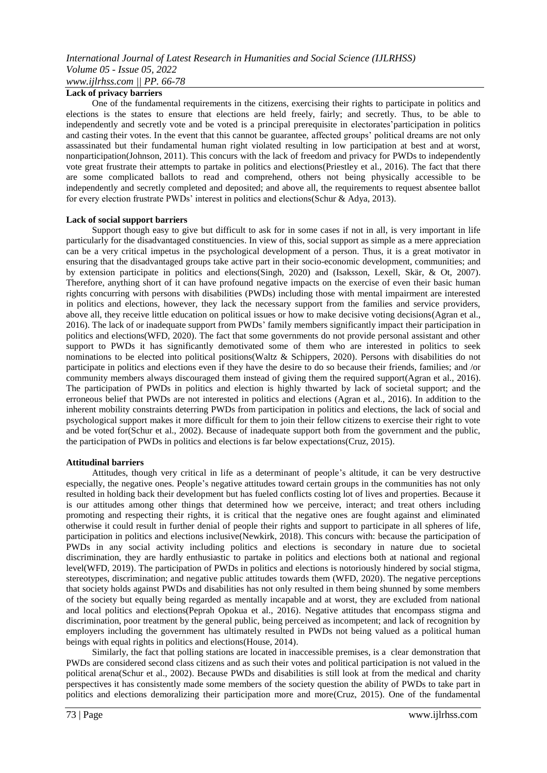## *International Journal of Latest Research in Humanities and Social Science (IJLRHSS) Volume 05 - Issue 05, 2022 www.ijlrhss.com || PP. 66-78*

## **Lack of privacy barriers**

One of the fundamental requirements in the citizens, exercising their rights to participate in politics and elections is the states to ensure that elections are held freely, fairly; and secretly. Thus, to be able to independently and secretly vote and be voted is a principal prerequisite in electorates' participation in politics and casting their votes. In the event that this cannot be guarantee, affected groups" political dreams are not only assassinated but their fundamental human right violated resulting in low participation at best and at worst, nonparticipation(Johnson, 2011). This concurs with the lack of freedom and privacy for PWDs to independently vote great frustrate their attempts to partake in politics and elections(Priestley et al., 2016). The fact that there are some complicated ballots to read and comprehend, others not being physically accessible to be independently and secretly completed and deposited; and above all, the requirements to request absentee ballot for every election frustrate PWDs" interest in politics and elections(Schur & Adya, 2013).

## **Lack of social support barriers**

Support though easy to give but difficult to ask for in some cases if not in all, is very important in life particularly for the disadvantaged constituencies. In view of this, social support as simple as a mere appreciation can be a very critical impetus in the psychological development of a person. Thus, it is a great motivator in ensuring that the disadvantaged groups take active part in their socio-economic development, communities; and by extension participate in politics and elections(Singh, 2020) and (Isaksson, Lexell, Skär, & Ot, 2007). Therefore, anything short of it can have profound negative impacts on the exercise of even their basic human rights concurring with persons with disabilities (PWDs) including those with mental impairment are interested in politics and elections, however, they lack the necessary support from the families and service providers, above all, they receive little education on political issues or how to make decisive voting decisions(Agran et al., 2016). The lack of or inadequate support from PWDs" family members significantly impact their participation in politics and elections(WFD, 2020). The fact that some governments do not provide personal assistant and other support to PWDs it has significantly demotivated some of them who are interested in politics to seek nominations to be elected into political positions(Waltz & Schippers, 2020). Persons with disabilities do not participate in politics and elections even if they have the desire to do so because their friends, families; and /or community members always discouraged them instead of giving them the required support(Agran et al., 2016). The participation of PWDs in politics and election is highly thwarted by lack of societal support; and the erroneous belief that PWDs are not interested in politics and elections (Agran et al., 2016). In addition to the inherent mobility constraints deterring PWDs from participation in politics and elections, the lack of social and psychological support makes it more difficult for them to join their fellow citizens to exercise their right to vote and be voted for(Schur et al., 2002). Because of inadequate support both from the government and the public, the participation of PWDs in politics and elections is far below expectations(Cruz, 2015).

## **Attitudinal barriers**

Attitudes, though very critical in life as a determinant of people"s altitude, it can be very destructive especially, the negative ones. People"s negative attitudes toward certain groups in the communities has not only resulted in holding back their development but has fueled conflicts costing lot of lives and properties. Because it is our attitudes among other things that determined how we perceive, interact; and treat others including promoting and respecting their rights, it is critical that the negative ones are fought against and eliminated otherwise it could result in further denial of people their rights and support to participate in all spheres of life, participation in politics and elections inclusive(Newkirk, 2018). This concurs with: because the participation of PWDs in any social activity including politics and elections is secondary in nature due to societal discrimination, they are hardly enthusiastic to partake in politics and elections both at national and regional level(WFD, 2019). The participation of PWDs in politics and elections is notoriously hindered by social stigma, stereotypes, discrimination; and negative public attitudes towards them (WFD, 2020). The negative perceptions that society holds against PWDs and disabilities has not only resulted in them being shunned by some members of the society but equally being regarded as mentally incapable and at worst, they are excluded from national and local politics and elections(Peprah Opokua et al., 2016). Negative attitudes that encompass stigma and discrimination, poor treatment by the general public, being perceived as incompetent; and lack of recognition by employers including the government has ultimately resulted in PWDs not being valued as a political human beings with equal rights in politics and elections(House, 2014).

Similarly, the fact that polling stations are located in inaccessible premises, is a clear demonstration that PWDs are considered second class citizens and as such their votes and political participation is not valued in the political arena(Schur et al., 2002). Because PWDs and disabilities is still look at from the medical and charity perspectives it has consistently made some members of the society question the ability of PWDs to take part in politics and elections demoralizing their participation more and more(Cruz, 2015). One of the fundamental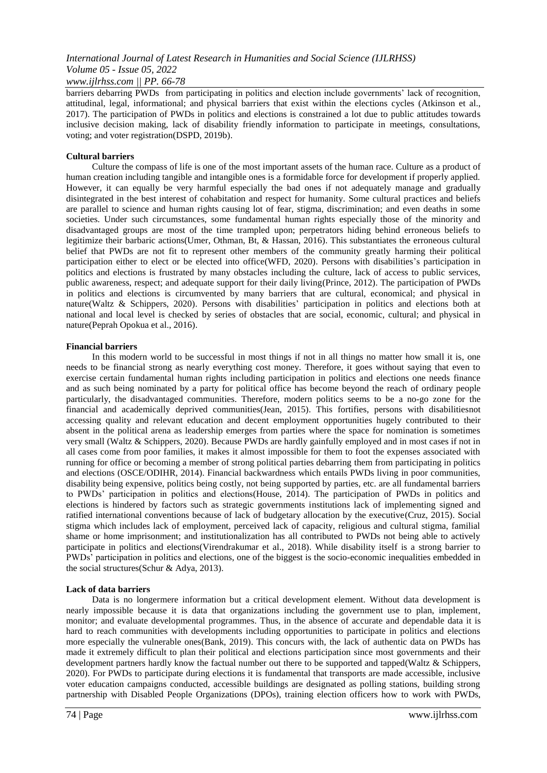## *www.ijlrhss.com || PP. 66-78*

barriers debarring PWDs from participating in politics and election include governments' lack of recognition, attitudinal, legal, informational; and physical barriers that exist within the elections cycles (Atkinson et al., 2017). The participation of PWDs in politics and elections is constrained a lot due to public attitudes towards inclusive decision making, lack of disability friendly information to participate in meetings, consultations, voting; and voter registration(DSPD, 2019b).

## **Cultural barriers**

Culture the compass of life is one of the most important assets of the human race. Culture as a product of human creation including tangible and intangible ones is a formidable force for development if properly applied. However, it can equally be very harmful especially the bad ones if not adequately manage and gradually disintegrated in the best interest of cohabitation and respect for humanity. Some cultural practices and beliefs are parallel to science and human rights causing lot of fear, stigma, discrimination; and even deaths in some societies. Under such circumstances, some fundamental human rights especially those of the minority and disadvantaged groups are most of the time trampled upon; perpetrators hiding behind erroneous beliefs to legitimize their barbaric actions(Umer, Othman, Bt, & Hassan, 2016). This substantiates the erroneous cultural belief that PWDs are not fit to represent other members of the community greatly harming their political participation either to elect or be elected into office(WFD, 2020). Persons with disabilities"s participation in politics and elections is frustrated by many obstacles including the culture, lack of access to public services, public awareness, respect; and adequate support for their daily living(Prince, 2012). The participation of PWDs in politics and elections is circumvented by many barriers that are cultural, economical; and physical in nature(Waltz & Schippers, 2020). Persons with disabilities' participation in politics and elections both at national and local level is checked by series of obstacles that are social, economic, cultural; and physical in nature(Peprah Opokua et al., 2016).

## **Financial barriers**

In this modern world to be successful in most things if not in all things no matter how small it is, one needs to be financial strong as nearly everything cost money. Therefore, it goes without saying that even to exercise certain fundamental human rights including participation in politics and elections one needs finance and as such being nominated by a party for political office has become beyond the reach of ordinary people particularly, the disadvantaged communities. Therefore, modern politics seems to be a no-go zone for the financial and academically deprived communities(Jean, 2015). This fortifies, persons with disabilitiesnot accessing quality and relevant education and decent employment opportunities hugely contributed to their absent in the political arena as leadership emerges from parties where the space for nomination is sometimes very small (Waltz & Schippers, 2020). Because PWDs are hardly gainfully employed and in most cases if not in all cases come from poor families, it makes it almost impossible for them to foot the expenses associated with running for office or becoming a member of strong political parties debarring them from participating in politics and elections (OSCE/ODIHR, 2014). Financial backwardness which entails PWDs living in poor communities, disability being expensive, politics being costly, not being supported by parties, etc. are all fundamental barriers to PWDs" participation in politics and elections(House, 2014). The participation of PWDs in politics and elections is hindered by factors such as strategic governments institutions lack of implementing signed and ratified international conventions because of lack of budgetary allocation by the executive(Cruz, 2015). Social stigma which includes lack of employment, perceived lack of capacity, religious and cultural stigma, familial shame or home imprisonment; and institutionalization has all contributed to PWDs not being able to actively participate in politics and elections(Virendrakumar et al., 2018). While disability itself is a strong barrier to PWDs" participation in politics and elections, one of the biggest is the socio-economic inequalities embedded in the social structures(Schur & Adya, 2013).

## **Lack of data barriers**

Data is no longermere information but a critical development element. Without data development is nearly impossible because it is data that organizations including the government use to plan, implement, monitor; and evaluate developmental programmes. Thus, in the absence of accurate and dependable data it is hard to reach communities with developments including opportunities to participate in politics and elections more especially the vulnerable ones(Bank, 2019). This concurs with, the lack of authentic data on PWDs has made it extremely difficult to plan their political and elections participation since most governments and their development partners hardly know the factual number out there to be supported and tapped(Waltz & Schippers, 2020). For PWDs to participate during elections it is fundamental that transports are made accessible, inclusive voter education campaigns conducted, accessible buildings are designated as polling stations, building strong partnership with Disabled People Organizations (DPOs), training election officers how to work with PWDs,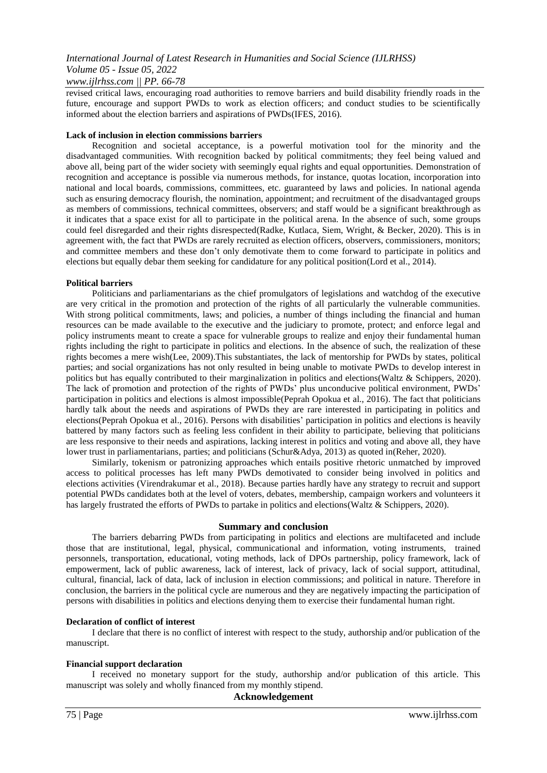## *www.ijlrhss.com || PP. 66-78*

revised critical laws, encouraging road authorities to remove barriers and build disability friendly roads in the future, encourage and support PWDs to work as election officers; and conduct studies to be scientifically informed about the election barriers and aspirations of PWDs(IFES, 2016).

## **Lack of inclusion in election commissions barriers**

Recognition and societal acceptance, is a powerful motivation tool for the minority and the disadvantaged communities. With recognition backed by political commitments; they feel being valued and above all, being part of the wider society with seemingly equal rights and equal opportunities. Demonstration of recognition and acceptance is possible via numerous methods, for instance, quotas location, incorporation into national and local boards, commissions, committees, etc. guaranteed by laws and policies. In national agenda such as ensuring democracy flourish, the nomination, appointment; and recruitment of the disadvantaged groups as members of commissions, technical committees, observers; and staff would be a significant breakthrough as it indicates that a space exist for all to participate in the political arena. In the absence of such, some groups could feel disregarded and their rights disrespected(Radke, Kutlaca, Siem, Wright, & Becker, 2020). This is in agreement with, the fact that PWDs are rarely recruited as election officers, observers, commissioners, monitors; and committee members and these don"t only demotivate them to come forward to participate in politics and elections but equally debar them seeking for candidature for any political position(Lord et al., 2014).

## **Political barriers**

Politicians and parliamentarians as the chief promulgators of legislations and watchdog of the executive are very critical in the promotion and protection of the rights of all particularly the vulnerable communities. With strong political commitments, laws; and policies, a number of things including the financial and human resources can be made available to the executive and the judiciary to promote, protect; and enforce legal and policy instruments meant to create a space for vulnerable groups to realize and enjoy their fundamental human rights including the right to participate in politics and elections. In the absence of such, the realization of these rights becomes a mere wish(Lee, 2009).This substantiates, the lack of mentorship for PWDs by states, political parties; and social organizations has not only resulted in being unable to motivate PWDs to develop interest in politics but has equally contributed to their marginalization in politics and elections(Waltz & Schippers, 2020). The lack of promotion and protection of the rights of PWDs" plus unconducive political environment, PWDs" participation in politics and elections is almost impossible(Peprah Opokua et al., 2016). The fact that politicians hardly talk about the needs and aspirations of PWDs they are rare interested in participating in politics and elections(Peprah Opokua et al., 2016). Persons with disabilities" participation in politics and elections is heavily battered by many factors such as feeling less confident in their ability to participate, believing that politicians are less responsive to their needs and aspirations, lacking interest in politics and voting and above all, they have lower trust in parliamentarians, parties; and politicians (Schur&Adya, 2013) as quoted in(Reher, 2020).

Similarly, tokenism or patronizing approaches which entails positive rhetoric unmatched by improved access to political processes has left many PWDs demotivated to consider being involved in politics and elections activities (Virendrakumar et al., 2018). Because parties hardly have any strategy to recruit and support potential PWDs candidates both at the level of voters, debates, membership, campaign workers and volunteers it has largely frustrated the efforts of PWDs to partake in politics and elections (Waltz & Schippers, 2020).

## **Summary and conclusion**

The barriers debarring PWDs from participating in politics and elections are multifaceted and include those that are institutional, legal, physical, communicational and information, voting instruments, trained personnels, transportation, educational, voting methods, lack of DPOs partnership, policy framework, lack of empowerment, lack of public awareness, lack of interest, lack of privacy, lack of social support, attitudinal, cultural, financial, lack of data, lack of inclusion in election commissions; and political in nature. Therefore in conclusion, the barriers in the political cycle are numerous and they are negatively impacting the participation of persons with disabilities in politics and elections denying them to exercise their fundamental human right.

## **Declaration of conflict of interest**

I declare that there is no conflict of interest with respect to the study, authorship and/or publication of the manuscript.

## **Financial support declaration**

I received no monetary support for the study, authorship and/or publication of this article. This manuscript was solely and wholly financed from my monthly stipend.

## **Acknowledgement**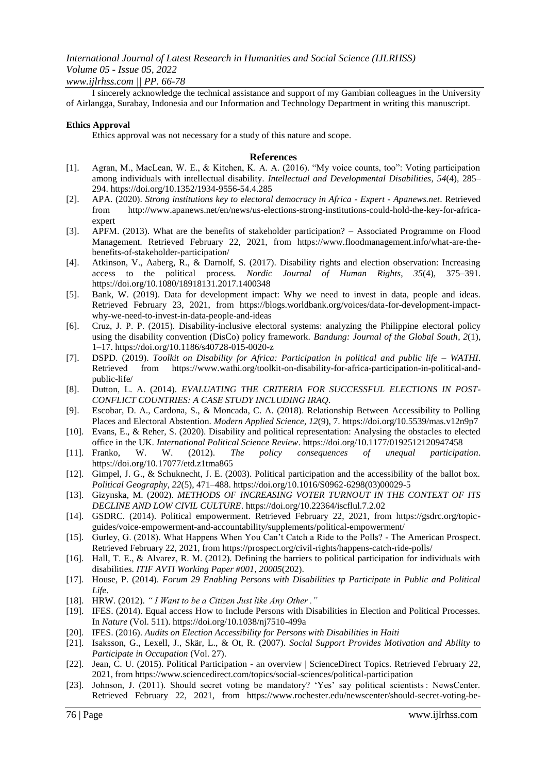#### *www.ijlrhss.com || PP. 66-78*

I sincerely acknowledge the technical assistance and support of my Gambian colleagues in the University of Airlangga, Surabay, Indonesia and our Information and Technology Department in writing this manuscript.

#### **Ethics Approval**

Ethics approval was not necessary for a study of this nature and scope.

#### **References**

- [1]. Agran, M., MacLean, W. E., & Kitchen, K. A. A. (2016). "My voice counts, too": Voting participation among individuals with intellectual disability. *Intellectual and Developmental Disabilities*, *54*(4), 285– 294. https://doi.org/10.1352/1934-9556-54.4.285
- [2]. APA. (2020). *Strong institutions key to electoral democracy in Africa - Expert - Apanews.net*. Retrieved from http://www.apanews.net/en/news/us-elections-strong-institutions-could-hold-the-key-for-africaexpert
- [3]. APFM. (2013). What are the benefits of stakeholder participation? Associated Programme on Flood Management. Retrieved February 22, 2021, from https://www.floodmanagement.info/what-are-thebenefits-of-stakeholder-participation/
- [4]. Atkinson, V., Aaberg, R., & Darnolf, S. (2017). Disability rights and election observation: Increasing access to the political process. *Nordic Journal of Human Rights*, *35*(4), 375–391. https://doi.org/10.1080/18918131.2017.1400348
- [5]. Bank, W. (2019). Data for development impact: Why we need to invest in data, people and ideas. Retrieved February 23, 2021, from https://blogs.worldbank.org/voices/data-for-development-impactwhy-we-need-to-invest-in-data-people-and-ideas
- [6]. Cruz, J. P. P. (2015). Disability-inclusive electoral systems: analyzing the Philippine electoral policy using the disability convention (DisCo) policy framework. *Bandung: Journal of the Global South*, *2*(1), 1–17. https://doi.org/10.1186/s40728-015-0020-z
- [7]. DSPD. (2019). *Toolkit on Disability for Africa: Participation in political and public life – WATHI*. Retrieved from https://www.wathi.org/toolkit-on-disability-for-africa-participation-in-political-andpublic-life/
- [8]. Dutton, L. A. (2014). *EVALUATING THE CRITERIA FOR SUCCESSFUL ELECTIONS IN POST-CONFLICT COUNTRIES: A CASE STUDY INCLUDING IRAQ*.
- [9]. Escobar, D. A., Cardona, S., & Moncada, C. A. (2018). Relationship Between Accessibility to Polling Places and Electoral Abstention. *Modern Applied Science*, *12*(9), 7. https://doi.org/10.5539/mas.v12n9p7
- [10]. Evans, E., & Reher, S. (2020). Disability and political representation: Analysing the obstacles to elected office in the UK. *International Political Science Review*. https://doi.org/10.1177/0192512120947458
- [11]. Franko, W. W. (2012). *The policy consequences of unequal participation*. https://doi.org/10.17077/etd.z1tma865
- [12]. Gimpel, J. G., & Schuknecht, J. E. (2003). Political participation and the accessibility of the ballot box. *Political Geography*, *22*(5), 471–488. https://doi.org/10.1016/S0962-6298(03)00029-5
- [13]. Gizynska, M. (2002). *METHODS OF INCREASING VOTER TURNOUT IN THE CONTEXT OF ITS DECLINE AND LOW CIVIL CULTURE*. https://doi.org/10.22364/iscflul.7.2.02
- [14]. GSDRC. (2014). Political empowerment. Retrieved February 22, 2021, from https://gsdrc.org/topicguides/voice-empowerment-and-accountability/supplements/political-empowerment/
- [15]. Gurley, G. (2018). What Happens When You Can"t Catch a Ride to the Polls? The American Prospect. Retrieved February 22, 2021, from https://prospect.org/civil-rights/happens-catch-ride-polls/
- [16]. Hall, T. E., & Alvarez, R. M. (2012). Defining the barriers to political participation for individuals with disabilities. *ITIF AVTI Working Paper #001*, *20005*(202).
- [17]. House, P. (2014). *Forum 29 Enabling Persons with Disabilities tp Participate in Public and Political Life*.
- [18]. HRW. (2012). *" I Want to be a Citizen Just like Any Other ."*
- [19]. IFES. (2014). Equal access How to Include Persons with Disabilities in Election and Political Processes. In *Nature* (Vol. 511). https://doi.org/10.1038/nj7510-499a
- [20]. IFES. (2016). *Audits on Election Accessibility for Persons with Disabilities in Haiti*
- [21]. Isaksson, G., Lexell, J., Skär, L., & Ot, R. (2007). *Social Support Provides Motivation and Ability to Participate in Occupation* (Vol. 27).
- [22]. Jean, C. U. (2015). Political Participation an overview | ScienceDirect Topics. Retrieved February 22, 2021, from https://www.sciencedirect.com/topics/social-sciences/political-participation
- [23]. Johnson, J. (2011). Should secret voting be mandatory? "Yes" say political scientists : NewsCenter. Retrieved February 22, 2021, from https://www.rochester.edu/newscenter/should-secret-voting-be-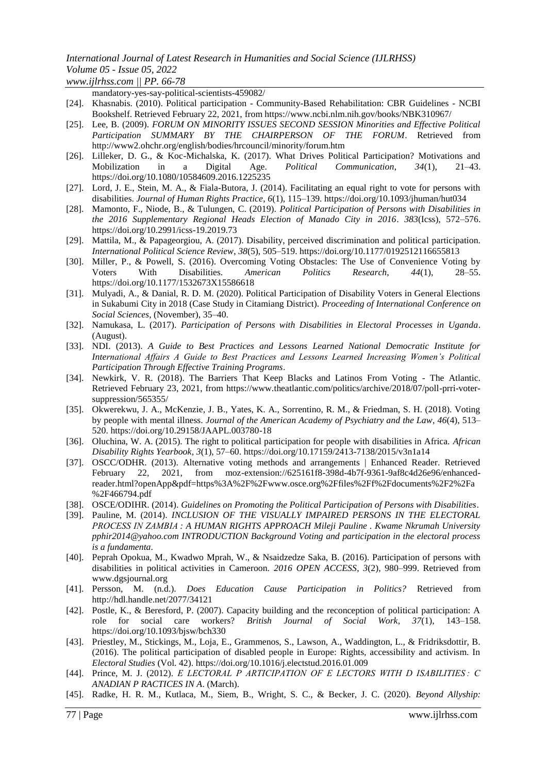*www.ijlrhss.com || PP. 66-78*

mandatory-yes-say-political-scientists-459082/

- [24]. Khasnabis. (2010). Political participation Community-Based Rehabilitation: CBR Guidelines NCBI Bookshelf. Retrieved February 22, 2021, from https://www.ncbi.nlm.nih.gov/books/NBK310967/
- [25]. Lee, B. (2009). *FORUM ON MINORITY ISSUES SECOND SESSION Minorities and Effective Political Participation SUMMARY BY THE CHAIRPERSON OF THE FORUM*. Retrieved from http://www2.ohchr.org/english/bodies/hrcouncil/minority/forum.htm
- [26]. Lilleker, D. G., & Koc-Michalska, K. (2017). What Drives Political Participation? Motivations and Mobilization in a Digital Age. *Political Communication*, *34*(1), 21–43. https://doi.org/10.1080/10584609.2016.1225235
- [27]. Lord, J. E., Stein, M. A., & Fiala-Butora, J. (2014). Facilitating an equal right to vote for persons with disabilities. *Journal of Human Rights Practice*, *6*(1), 115–139. https://doi.org/10.1093/jhuman/hut034
- [28]. Mamonto, F., Niode, B., & Tulungen, C. (2019). *Political Participation of Persons with Disabilities in the 2016 Supplementary Regional Heads Election of Manado City in 2016*. *383*(Icss), 572–576. https://doi.org/10.2991/icss-19.2019.73
- [29]. Mattila, M., & Papageorgiou, A. (2017). Disability, perceived discrimination and political participation. *International Political Science Review*, *38*(5), 505–519. https://doi.org/10.1177/0192512116655813
- [30]. Miller, P., & Powell, S. (2016). Overcoming Voting Obstacles: The Use of Convenience Voting by Voters With Disabilities. *American Politics Research*, *44*(1), 28–55. https://doi.org/10.1177/1532673X15586618
- [31]. Mulyadi, A., & Danial, R. D. M. (2020). Political Participation of Disability Voters in General Elections in Sukabumi City in 2018 (Case Study in Citamiang District). *Proceeding of International Conference on Social Sciences*, (November), 35–40.
- [32]. Namukasa, L. (2017). *Participation of Persons with Disabilities in Electoral Processes in Uganda*. (August).
- [33]. NDI. (2013). *A Guide to Best Practices and Lessons Learned National Democratic Institute for International Affairs A Guide to Best Practices and Lessons Learned Increasing Women's Political Participation Through Effective Training Programs*.
- [34]. Newkirk, V. R. (2018). The Barriers That Keep Blacks and Latinos From Voting The Atlantic. Retrieved February 23, 2021, from https://www.theatlantic.com/politics/archive/2018/07/poll-prri-votersuppression/565355/
- [35]. Okwerekwu, J. A., McKenzie, J. B., Yates, K. A., Sorrentino, R. M., & Friedman, S. H. (2018). Voting by people with mental illness. *Journal of the American Academy of Psychiatry and the Law*, *46*(4), 513– 520. https://doi.org/10.29158/JAAPL.003780-18
- [36]. Oluchina, W. A. (2015). The right to political participation for people with disabilities in Africa. *African Disability Rights Yearbook*, *3*(1), 57–60. https://doi.org/10.17159/2413-7138/2015/v3n1a14
- [37]. OSCC/ODHR. (2013). Alternative voting methods and arrangements | Enhanced Reader. Retrieved February 22, 2021, from moz-extension://625161f8-398d-4b7f-9361-9af8c4d26e96/enhancedreader.html?openApp&pdf=https%3A%2F%2Fwww.osce.org%2Ffiles%2Ff%2Fdocuments%2F2%2Fa %2F466794.pdf
- [38]. OSCE/ODIHR. (2014). *Guidelines on Promoting the Political Participation of Persons with Disabilities*.
- [39]. Pauline, M. (2014). *INCLUSION OF THE VISUALLY IMPAIRED PERSONS IN THE ELECTORAL PROCESS IN ZAMBIA : A HUMAN RIGHTS APPROACH Mileji Pauline . Kwame Nkrumah University pphir2014@yahoo.com INTRODUCTION Background Voting and participation in the electoral process is a fundamenta*.
- [40]. Peprah Opokua, M., Kwadwo Mprah, W., & Nsaidzedze Saka, B. (2016). Participation of persons with disabilities in political activities in Cameroon. *2016 OPEN ACCESS*, *3*(2), 980–999. Retrieved from www.dgsjournal.org
- [41]. Persson, M. (n.d.). *Does Education Cause Participation in Politics?* Retrieved from http://hdl.handle.net/2077/34121
- [42]. Postle, K., & Beresford, P. (2007). Capacity building and the reconception of political participation: A role for social care workers? *British Journal of Social Work*, *37*(1), 143–158. https://doi.org/10.1093/bjsw/bch330
- [43]. Priestley, M., Stickings, M., Loja, E., Grammenos, S., Lawson, A., Waddington, L., & Fridriksdottir, B. (2016). The political participation of disabled people in Europe: Rights, accessibility and activism. In *Electoral Studies* (Vol. 42). https://doi.org/10.1016/j.electstud.2016.01.009
- [44]. Prince, M. J. (2012). *E LECTORAL P ARTICIPATION OF E LECTORS WITH D ISABILITIES : C ANADIAN P RACTICES IN A*. (March).
- [45]. Radke, H. R. M., Kutlaca, M., Siem, B., Wright, S. C., & Becker, J. C. (2020). *Beyond Allyship:*